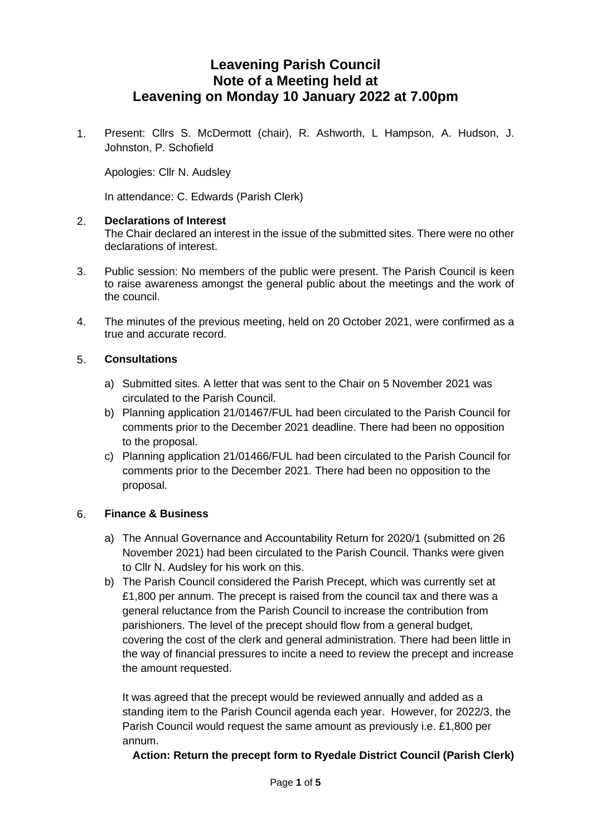# **Leavening Parish Council Note of a Meeting held at Leavening on Monday 10 January 2022 at 7.00pm**

1. Present: Cllrs S. McDermott (chair), R. Ashworth, L Hampson, A. Hudson, J. Johnston, P. Schofield

Apologies: Cllr N. Audsley

In attendance: C. Edwards (Parish Clerk)

#### 2. **Declarations of Interest**

The Chair declared an interest in the issue of the submitted sites. There were no other declarations of interest.

- 3. Public session: No members of the public were present. The Parish Council is keen to raise awareness amongst the general public about the meetings and the work of the council.
- 4. The minutes of the previous meeting, held on 20 October 2021, were confirmed as a true and accurate record.

#### 5. **Consultations**

- a) Submitted sites. A letter that was sent to the Chair on 5 November 2021 was circulated to the Parish Council.
- b) Planning application 21/01467/FUL had been circulated to the Parish Council for comments prior to the December 2021 deadline. There had been no opposition to the proposal.
- c) Planning application 21/01466/FUL had been circulated to the Parish Council for comments prior to the December 2021. There had been no opposition to the proposal.

## 6. **Finance & Business**

- a) The Annual Governance and Accountability Return for 2020/1 (submitted on 26 November 2021) had been circulated to the Parish Council. Thanks were given to Cllr N. Audsley for his work on this.
- b) The Parish Council considered the Parish Precept, which was currently set at £1,800 per annum. The precept is raised from the council tax and there was a general reluctance from the Parish Council to increase the contribution from parishioners. The level of the precept should flow from a general budget, covering the cost of the clerk and general administration. There had been little in the way of financial pressures to incite a need to review the precept and increase the amount requested.

It was agreed that the precept would be reviewed annually and added as a standing item to the Parish Council agenda each year. However, for 2022/3, the Parish Council would request the same amount as previously i.e. £1,800 per annum.

**Action: Return the precept form to Ryedale District Council (Parish Clerk)**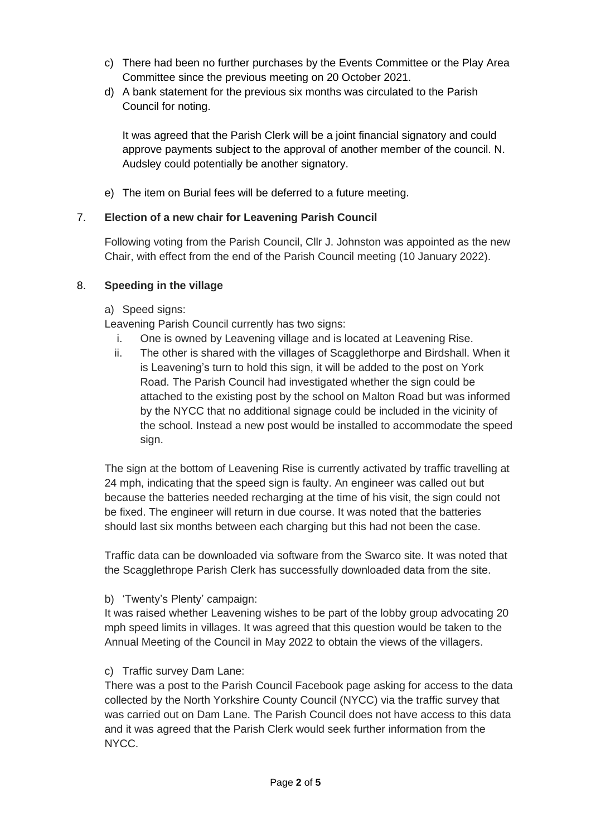- c) There had been no further purchases by the Events Committee or the Play Area Committee since the previous meeting on 20 October 2021.
- d) A bank statement for the previous six months was circulated to the Parish Council for noting.

It was agreed that the Parish Clerk will be a joint financial signatory and could approve payments subject to the approval of another member of the council. N. Audsley could potentially be another signatory.

e) The item on Burial fees will be deferred to a future meeting.

# 7. **Election of a new chair for Leavening Parish Council**

Following voting from the Parish Council, Cllr J. Johnston was appointed as the new Chair, with effect from the end of the Parish Council meeting (10 January 2022).

# 8. **Speeding in the village**

a) Speed signs:

Leavening Parish Council currently has two signs:

- i. One is owned by Leavening village and is located at Leavening Rise.
- ii. The other is shared with the villages of Scagglethorpe and Birdshall. When it is Leavening's turn to hold this sign, it will be added to the post on York Road. The Parish Council had investigated whether the sign could be attached to the existing post by the school on Malton Road but was informed by the NYCC that no additional signage could be included in the vicinity of the school. Instead a new post would be installed to accommodate the speed sign.

The sign at the bottom of Leavening Rise is currently activated by traffic travelling at 24 mph, indicating that the speed sign is faulty. An engineer was called out but because the batteries needed recharging at the time of his visit, the sign could not be fixed. The engineer will return in due course. It was noted that the batteries should last six months between each charging but this had not been the case.

Traffic data can be downloaded via software from the Swarco site. It was noted that the Scagglethrope Parish Clerk has successfully downloaded data from the site.

b) 'Twenty's Plenty' campaign:

It was raised whether Leavening wishes to be part of the lobby group advocating 20 mph speed limits in villages. It was agreed that this question would be taken to the Annual Meeting of the Council in May 2022 to obtain the views of the villagers.

c) Traffic survey Dam Lane:

There was a post to the Parish Council Facebook page asking for access to the data collected by the North Yorkshire County Council (NYCC) via the traffic survey that was carried out on Dam Lane. The Parish Council does not have access to this data and it was agreed that the Parish Clerk would seek further information from the NYCC.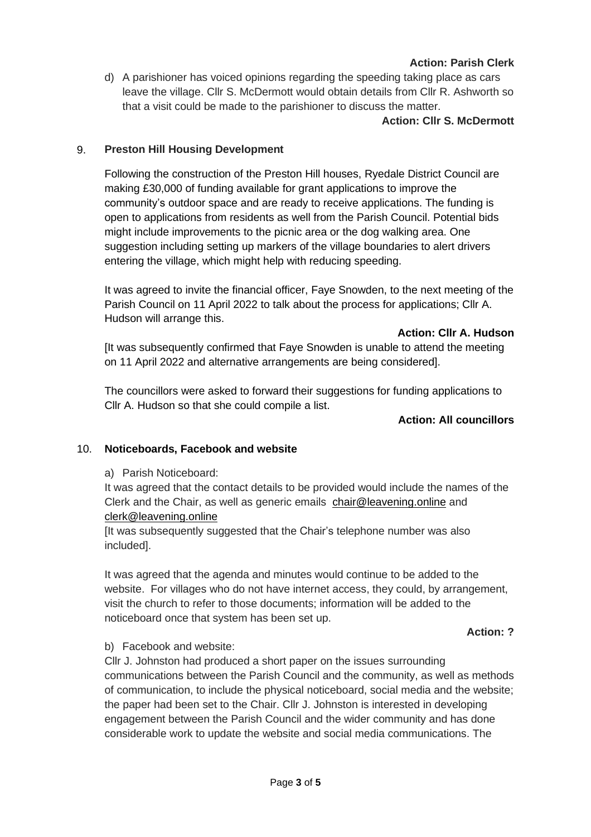# **Action: Parish Clerk**

d) A parishioner has voiced opinions regarding the speeding taking place as cars leave the village. Cllr S. McDermott would obtain details from Cllr R. Ashworth so that a visit could be made to the parishioner to discuss the matter.

#### **Action: Cllr S. McDermott**

### 9. **Preston Hill Housing Development**

Following the construction of the Preston Hill houses, Ryedale District Council are making £30,000 of funding available for grant applications to improve the community's outdoor space and are ready to receive applications. The funding is open to applications from residents as well from the Parish Council. Potential bids might include improvements to the picnic area or the dog walking area. One suggestion including setting up markers of the village boundaries to alert drivers entering the village, which might help with reducing speeding.

It was agreed to invite the financial officer, Faye Snowden, to the next meeting of the Parish Council on 11 April 2022 to talk about the process for applications; Cllr A. Hudson will arrange this.

**Action: Cllr A. Hudson**

[It was subsequently confirmed that Faye Snowden is unable to attend the meeting on 11 April 2022 and alternative arrangements are being considered].

The councillors were asked to forward their suggestions for funding applications to Cllr A. Hudson so that she could compile a list.

#### **Action: All councillors**

#### 10. **Noticeboards, Facebook and website**

#### a) Parish Noticeboard:

It was agreed that the contact details to be provided would include the names of the Clerk and the Chair, as well as generic emails [chair@leavening.online](mailto:chair@leavening.online) and [clerk@leavening.online](mailto:clerk@leavening.online)

[It was subsequently suggested that the Chair's telephone number was also included].

It was agreed that the agenda and minutes would continue to be added to the website. For villages who do not have internet access, they could, by arrangement, visit the church to refer to those documents; information will be added to the noticeboard once that system has been set up.

#### **Action: ?**

#### b) Facebook and website:

Cllr J. Johnston had produced a short paper on the issues surrounding communications between the Parish Council and the community, as well as methods of communication, to include the physical noticeboard, social media and the website; the paper had been set to the Chair. Cllr J. Johnston is interested in developing engagement between the Parish Council and the wider community and has done considerable work to update the website and social media communications. The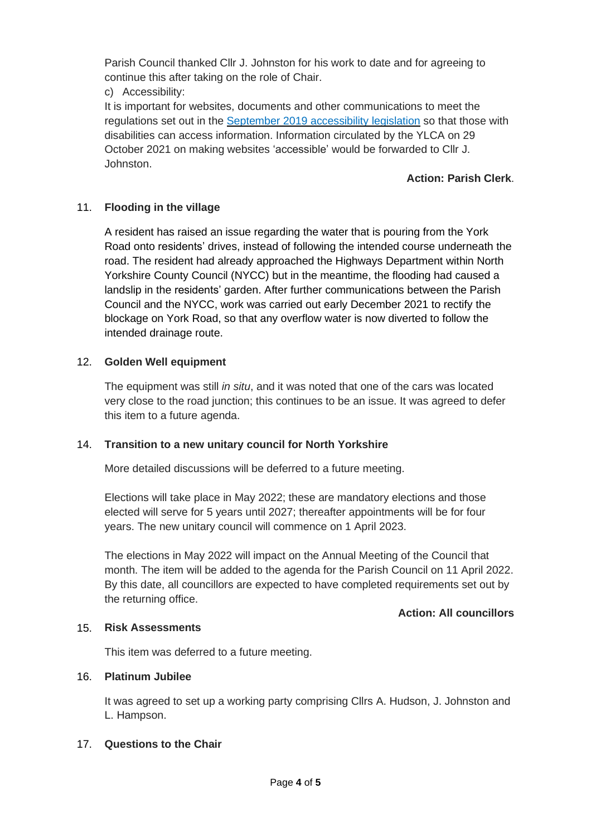Parish Council thanked Cllr J. Johnston for his work to date and for agreeing to continue this after taking on the role of Chair.

c) Accessibility:

It is important for websites, documents and other communications to meet the regulations set out in the September 2019 [accessibility](https://www.gov.uk/guidance/accessibility-requirements-for-public-sector-websites-and-apps) legislation so that those with disabilities can access information. Information circulated by the YLCA on 29 October 2021 on making websites 'accessible' would be forwarded to Cllr J. Johnston.

# **Action: Parish Clerk**.

# 11. **Flooding in the village**

A resident has raised an issue regarding the water that is pouring from the York Road onto residents' drives, instead of following the intended course underneath the road. The resident had already approached the Highways Department within North Yorkshire County Council (NYCC) but in the meantime, the flooding had caused a landslip in the residents' garden. After further communications between the Parish Council and the NYCC, work was carried out early December 2021 to rectify the blockage on York Road, so that any overflow water is now diverted to follow the intended drainage route.

# 12. **Golden Well equipment**

The equipment was still *in situ*, and it was noted that one of the cars was located very close to the road junction; this continues to be an issue. It was agreed to defer this item to a future agenda.

## 14. **Transition to a new unitary council for North Yorkshire**

More detailed discussions will be deferred to a future meeting.

Elections will take place in May 2022; these are mandatory elections and those elected will serve for 5 years until 2027; thereafter appointments will be for four years. The new unitary council will commence on 1 April 2023.

The elections in May 2022 will impact on the Annual Meeting of the Council that month. The item will be added to the agenda for the Parish Council on 11 April 2022. By this date, all councillors are expected to have completed requirements set out by the returning office.

## **Action: All councillors**

## 15. **Risk Assessments**

This item was deferred to a future meeting.

## 16. **Platinum Jubilee**

It was agreed to set up a working party comprising Cllrs A. Hudson, J. Johnston and L. Hampson.

## 17. **Questions to the Chair**